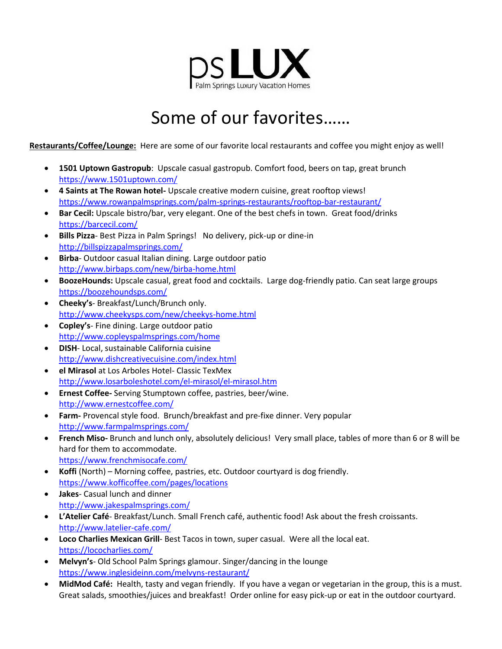

# Some of our favorites……

**Restaurants/Coffee/Lounge:** Here are some of our favorite local restaurants and coffee you might enjoy as well!

- **1501 Uptown Gastropub**: Upscale casual gastropub. Comfort food, beers on tap, great brunch <https://www.1501uptown.com/>
- **4 Saints at The Rowan hotel-** Upscale creative modern cuisine, great rooftop views! <https://www.rowanpalmsprings.com/palm-springs-restaurants/rooftop-bar-restaurant/>
- **Bar Cecil:** Upscale bistro/bar, very elegant. One of the best chefs in town. Great food/drinks <https://barcecil.com/>
- **Bills Pizza** Best Pizza in Palm Springs! No delivery, pick-up or dine-in <http://billspizzapalmsprings.com/>
- **Birba** Outdoor casual Italian dining. Large outdoor patio <http://www.birbaps.com/new/birba-home.html>
- **BoozeHounds:** Upscale casual, great food and cocktails. Large dog-friendly patio. Can seat large groups <https://boozehoundsps.com/>
- **Cheeky's** Breakfast/Lunch/Brunch only. <http://www.cheekysps.com/new/cheekys-home.html>
- **Copley's** Fine dining. Large outdoor patio <http://www.copleyspalmsprings.com/home>
- **DISH** Local, sustainable California cuisine <http://www.dishcreativecuisine.com/index.html>
- **el Mirasol** at Los Arboles Hotel- Classic TexMex <http://www.losarboleshotel.com/el-mirasol/el-mirasol.htm>
- **Ernest Coffee-** Serving Stumptown coffee, pastries, beer/wine. <http://www.ernestcoffee.com/>
- **Farm-** Provencal style food. Brunch/breakfast and pre-fixe dinner. Very popular <http://www.farmpalmsprings.com/>
- **French Miso-** Brunch and lunch only, absolutely delicious! Very small place, tables of more than 6 or 8 will be hard for them to accommodate. <https://www.frenchmisocafe.com/>
- **Koffi** (North) Morning coffee, pastries, etc. Outdoor courtyard is dog friendly. <https://www.kofficoffee.com/pages/locations>
- **Jakes** Casual lunch and dinner <http://www.jakespalmsprings.com/>
- **L'Atelier Café** Breakfast/Lunch. Small French café, authentic food! Ask about the fresh croissants. <http://www.latelier-cafe.com/>
- **Loco Charlies Mexican Grill** Best Tacos in town, super casual. Were all the local eat. <https://lococharlies.com/>
- **Melvyn's** Old School Palm Springs glamour. Singer/dancing in the lounge <https://www.inglesideinn.com/melvyns-restaurant/>
- **MidMod Café:** Health, tasty and vegan friendly. If you have a vegan or vegetarian in the group, this is a must. Great salads, smoothies/juices and breakfast! Order online for easy pick-up or eat in the outdoor courtyard.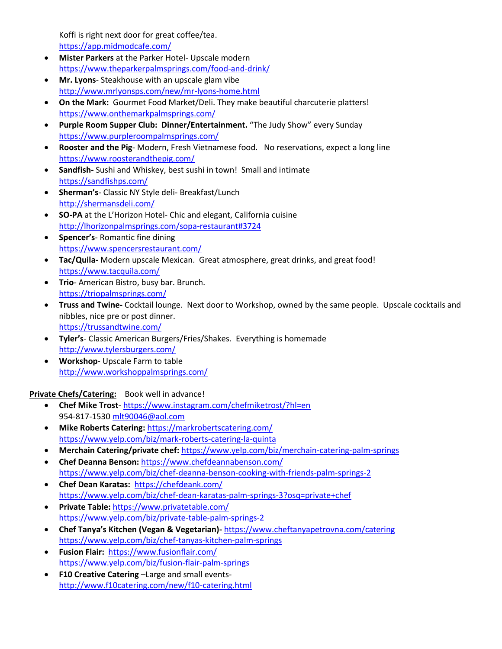Koffi is right next door for great coffee/tea. <https://app.midmodcafe.com/>

- **Mister Parkers** at the Parker Hotel- Upscale modern <https://www.theparkerpalmsprings.com/food-and-drink/>
- **Mr. Lyons** Steakhouse with an upscale glam vibe <http://www.mrlyonsps.com/new/mr-lyons-home.html>
- **On the Mark:** Gourmet Food Market/Deli. They make beautiful charcuterie platters! <https://www.onthemarkpalmsprings.com/>
- **Purple Room Supper Club: Dinner/Entertainment.** "The Judy Show" every Sunday <https://www.purpleroompalmsprings.com/>
- **Rooster and the Pig** Modern, Fresh Vietnamese food. No reservations, expect a long line <https://www.roosterandthepig.com/>
- **Sandfish-** Sushi and Whiskey, best sushi in town! Small and intimate <https://sandfishps.com/>
- **Sherman's** Classic NY Style deli- Breakfast/Lunch <http://shermansdeli.com/>
- **SO-PA** at the L'Horizon Hotel- Chic and elegant, California cuisine <http://lhorizonpalmsprings.com/sopa-restaurant#3724>
- **Spencer's** Romantic fine dining <https://www.spencersrestaurant.com/>
- **Tac/Quila-** Modern upscale Mexican. Great atmosphere, great drinks, and great food! <https://www.tacquila.com/>
- **Trio** American Bistro, busy bar. Brunch. <https://triopalmsprings.com/>
- **Truss and Twine-** Cocktail lounge. Next door to Workshop, owned by the same people. Upscale cocktails and nibbles, nice pre or post dinner. <https://trussandtwine.com/>
- **Tyler's** Classic American Burgers/Fries/Shakes. Everything is homemade <http://www.tylersburgers.com/>
- **Workshop** Upscale Farm to table <http://www.workshoppalmsprings.com/>

**Private Chefs/Catering:** Book well in advance!

- **Chef Mike Trost** <https://www.instagram.com/chefmiketrost/?hl=en> 954-817-1530 [mlt90046@aol.com](mailto:mlt90046@aol.com)
- **Mike Roberts Catering:** <https://markrobertscatering.com/> <https://www.yelp.com/biz/mark-roberts-catering-la-quinta>
- **Merchain Catering/private chef:** <https://www.yelp.com/biz/merchain-catering-palm-springs>
- **Chef Deanna Benson:** <https://www.chefdeannabenson.com/> <https://www.yelp.com/biz/chef-deanna-benson-cooking-with-friends-palm-springs-2>
- **Chef Dean Karatas:** <https://chefdeank.com/> <https://www.yelp.com/biz/chef-dean-karatas-palm-springs-3?osq=private+chef>
- **Private Table:** <https://www.privatetable.com/> <https://www.yelp.com/biz/private-table-palm-springs-2>
- **Chef Tanya's Kitchen (Vegan & Vegetarian)-** <https://www.cheftanyapetrovna.com/catering> <https://www.yelp.com/biz/chef-tanyas-kitchen-palm-springs>
- **Fusion Flair:** <https://www.fusionflair.com/> <https://www.yelp.com/biz/fusion-flair-palm-springs>
- **F10 Creative Catering** –Large and small events<http://www.f10catering.com/new/f10-catering.html>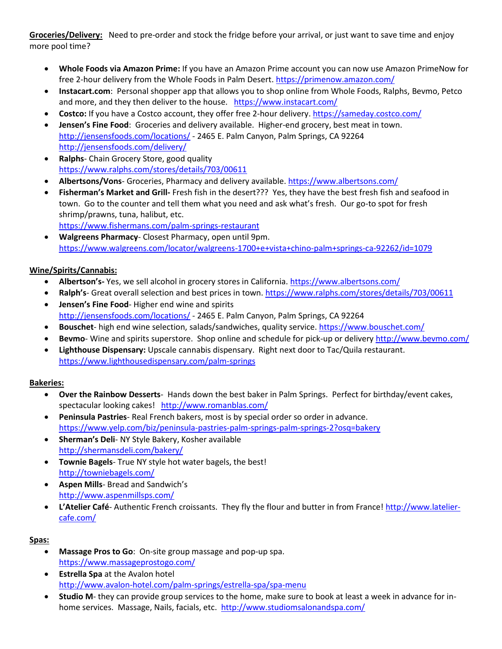**Groceries/Delivery:** Need to pre-order and stock the fridge before your arrival, or just want to save time and enjoy more pool time?

- **Whole Foods via Amazon Prime:** If you have an Amazon Prime account you can now use Amazon PrimeNow for free 2-hour delivery from the Whole Foods in Palm Desert. <https://primenow.amazon.com/>
- **Instacart.com**: Personal shopper app that allows you to shop online from Whole Foods, Ralphs, Bevmo, Petco and more, and they then deliver to the house. <https://www.instacart.com/>
- **Costco:** If you have a Costco account, they offer free 2-hour delivery[. https://sameday.costco.com/](https://sameday.costco.com/)
- **Jensen's Fine Food**: Groceries and delivery available. Higher-end grocery, best meat in town. <http://jensensfoods.com/locations/> - 2465 E. Palm Canyon, Palm Springs, CA 92264 <http://jensensfoods.com/delivery/>
- **Ralphs** Chain Grocery Store, good quality <https://www.ralphs.com/stores/details/703/00611>
- **Albertsons/Vons** Groceries, Pharmacy and delivery available[. https://www.albertsons.com/](https://www.albertsons.com/)
- **Fisherman's Market and Grill-** Fresh fish in the desert??? Yes, they have the best fresh fish and seafood in town. Go to the counter and tell them what you need and ask what's fresh. Our go-to spot for fresh shrimp/prawns, tuna, halibut, etc.

<https://www.fishermans.com/palm-springs-restaurant>

• **Walgreens Pharmacy**- Closest Pharmacy, open until 9pm. <https://www.walgreens.com/locator/walgreens-1700+e+vista+chino-palm+springs-ca-92262/id=1079>

### **Wine/Spirits/Cannabis:**

- **Albertson's-** Yes, we sell alcohol in grocery stores in California.<https://www.albertsons.com/>
- Ralph's- Great overall selection and best prices in town.<https://www.ralphs.com/stores/details/703/00611>
- **Jensen's Fine Food** Higher end wine and spirits <http://jensensfoods.com/locations/> - 2465 E. Palm Canyon, Palm Springs, CA 92264
- **Bouschet** high end wine selection, salads/sandwiches, quality service. <https://www.bouschet.com/>
- **Bevmo** Wine and spirits superstore. Shop online and schedule for pick-up or delivery<http://www.bevmo.com/>
- **Lighthouse Dispensary:** Upscale cannabis dispensary. Right next door to Tac/Quila restaurant. <https://www.lighthousedispensary.com/palm-springs>

### **Bakeries:**

- **Over the Rainbow Desserts** Hands down the best baker in Palm Springs. Perfect for birthday/event cakes, spectacular looking cakes! http://www.romanblas.com/
- **Peninsula Pastries** Real French bakers, most is by special order so order in advance. <https://www.yelp.com/biz/peninsula-pastries-palm-springs-palm-springs-2?osq=bakery>
- **Sherman's Deli** NY Style Bakery, Kosher available <http://shermansdeli.com/bakery/>
- **Townie Bagels** True NY style hot water bagels, the best! <http://towniebagels.com/>
- **Aspen Mills** Bread and Sandwich's <http://www.aspenmillsps.com/>
- **L'Atelier Café** Authentic French croissants. They fly the flour and butter in from France! [http://www.latelier](http://www.latelier-cafe.com/)[cafe.com/](http://www.latelier-cafe.com/)

### **Spas:**

- **Massage Pros to Go**: On-site group massage and pop-up spa. <https://www.massageprostogo.com/>
- **Estrella Spa** at the Avalon hotel <http://www.avalon-hotel.com/palm-springs/estrella-spa/spa-menu>
- **Studio M** they can provide group services to the home, make sure to book at least a week in advance for inhome services. Massage, Nails, facials, etc.<http://www.studiomsalonandspa.com/>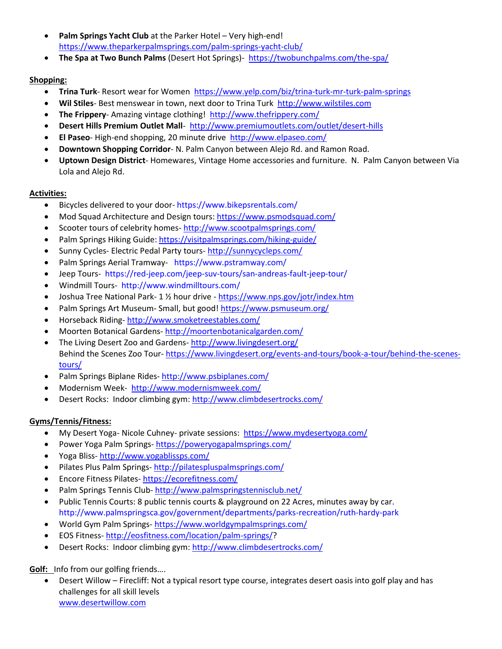- Palm Springs Yacht Club at the Parker Hotel Very high-end! <https://www.theparkerpalmsprings.com/palm-springs-yacht-club/>
- **The Spa at Two Bunch Palms** (Desert Hot Springs)- <https://twobunchpalms.com/the-spa/>

## **Shopping:**

- **Trina Turk** Resort wear for Women <https://www.yelp.com/biz/trina-turk-mr-turk-palm-springs>
- **Wil Stiles** Best menswear in town, next door to Trina Turk [http://www.wilstiles.com](http://www.wilstiles.com/)
- **The Frippery** Amazing vintage clothing! <http://www.thefrippery.com/>
- **Desert Hills Premium Outlet Mall** <http://www.premiumoutlets.com/outlet/desert-hills>
- **El Paseo** High-end shopping, 20 minute drive<http://www.elpaseo.com/>
- **Downtown Shopping Corridor** N. Palm Canyon between Alejo Rd. and Ramon Road.
- **Uptown Design District** Homewares, Vintage Home accessories and furniture. N. Palm Canyon between Via Lola and Alejo Rd.

### **Activities:**

- Bicycles delivered to your door- <https://www.bikepsrentals.com/>
- Mod Squad Architecture and Design tours[: https://www.psmodsquad.com/](https://www.psmodsquad.com/)
- Scooter tours of celebrity homes- <http://www.scootpalmsprings.com/>
- Palm Springs Hiking Guide:<https://visitpalmsprings.com/hiking-guide/>
- Sunny Cycles- Electric Pedal Party tours- <http://sunnycycleps.com/>
- Palm Springs Aerial Tramway- <https://www.pstramway.com/>
- Jeep Tours- <https://red-jeep.com/jeep-suv-tours/san-andreas-fault-jeep-tour/>
- Windmill Tours- <http://www.windmilltours.com/>
- Joshua Tree National Park- 1 % hour drive <https://www.nps.gov/jotr/index.htm>
- Palm Springs Art Museum- Small, but good!<https://www.psmuseum.org/>
- Horseback Riding- <http://www.smoketreestables.com/>
- Moorten Botanical Gardens- <http://moortenbotanicalgarden.com/>
- The Living Desert Zoo and Gardens- <http://www.livingdesert.org/> Behind the Scenes Zoo Tour- [https://www.livingdesert.org/events-and-tours/book-a-tour/behind-the-scenes](https://www.livingdesert.org/events-and-tours/book-a-tour/behind-the-scenes-tours/)[tours/](https://www.livingdesert.org/events-and-tours/book-a-tour/behind-the-scenes-tours/)
- Palm Springs Biplane Rides- <http://www.psbiplanes.com/>
- Modernism Week- <http://www.modernismweek.com/>
- Desert Rocks: Indoor climbing gym[: http://www.climbdesertrocks.com/](http://www.climbdesertrocks.com/)

### **Gyms/Tennis/Fitness:**

- My Desert Yoga- Nicole Cuhney- private sessions: <https://www.mydesertyoga.com/>
- Power Yoga Palm Springs- <https://poweryogapalmsprings.com/>
- Yoga Bliss- <http://www.yogablissps.com/>
- Pilates Plus Palm Springs- <http://pilatespluspalmsprings.com/>
- Encore Fitness Pilates- <https://ecorefitness.com/>
- Palm Springs Tennis Club- <http://www.palmspringstennisclub.net/>
- Public Tennis Courts: 8 public tennis courts & playground on 22 Acres, minutes away by car. <http://www.palmspringsca.gov/government/departments/parks-recreation/ruth-hardy-park>
- World Gym Palm Springs- <https://www.worldgympalmsprings.com/>
- EOS Fitness- [http://eosfitness.com/location/palm-springs/?](http://eosfitness.com/location/palm-springs/)
- Desert Rocks: Indoor climbing gym[: http://www.climbdesertrocks.com/](http://www.climbdesertrocks.com/)

**Golf:** Info from our golfing friends….

• Desert Willow – Firecliff: Not a typical resort type course, integrates desert oasis into golf play and has challenges for all skill levels [www.desertwillow.com](http://www.desertwillow.com/)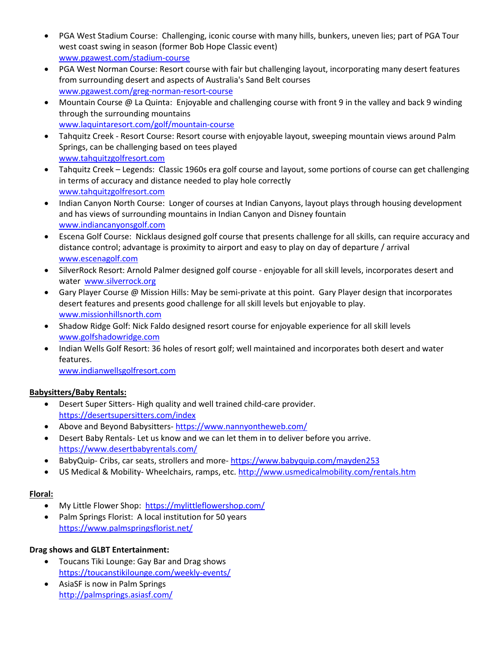- PGA West Stadium Course: Challenging, iconic course with many hills, bunkers, uneven lies; part of PGA Tour west coast swing in season (former Bob Hope Classic event) [www.pgawest.com/stadium-course](http://www.pgawest.com/stadium-course)
- PGA West Norman Course: Resort course with fair but challenging layout, incorporating many desert features from surrounding desert and aspects of Australia's Sand Belt courses [www.pgawest.com/greg-norman-resort-course](http://www.pgawest.com/greg-norman-resort-course)
- Mountain Course @ La Quinta: Enjoyable and challenging course with front 9 in the valley and back 9 winding through the surrounding mountains [www.laquintaresort.com/golf/mountain-course](http://www.laquintaresort.com/golf/mountain-course)
- Tahquitz Creek Resort Course: Resort course with enjoyable layout, sweeping mountain views around Palm Springs, can be challenging based on tees played [www.tahquitzgolfresort.com](http://www.tahquitzgolfresort.com/)
- Tahquitz Creek Legends: Classic 1960s era golf course and layout, some portions of course can get challenging in terms of accuracy and distance needed to play hole correctly [www.tahquitzgolfresort.com](http://www.tahquitzgolfresort.com/)
- Indian Canyon North Course: Longer of courses at Indian Canyons, layout plays through housing development and has views of surrounding mountains in Indian Canyon and Disney fountain [www.indiancanyonsgolf.com](http://www.indiancanyonsgolf.com/)
- Escena Golf Course: Nicklaus designed golf course that presents challenge for all skills, can require accuracy and distance control; advantage is proximity to airport and easy to play on day of departure / arrival [www.escenagolf.com](http://www.escenagolf.com/)
- SilverRock Resort: Arnold Palmer designed golf course enjoyable for all skill levels, incorporates desert and water [www.silverrock.org](http://www.silverrock.org/)
- Gary Player Course @ Mission Hills: May be semi-private at this point. Gary Player design that incorporates desert features and presents good challenge for all skill levels but enjoyable to play. [www.missionhillsnorth.com](http://www.missionhillsnorth.com/)
- Shadow Ridge Golf: Nick Faldo designed resort course for enjoyable experience for all skill levels [www.golfshadowridge.com](http://www.golfshadowridge.com/)
- Indian Wells Golf Resort: 36 holes of resort golf; well maintained and incorporates both desert and water features.

[www.indianwellsgolfresort.com](http://www.indianwellsgolfresort.com/)

### **Babysitters/Baby Rentals:**

- Desert Super Sitters- High quality and well trained child-care provider. <https://desertsupersitters.com/index>
- Above and Beyond Babysitters-<https://www.nannyontheweb.com/>
- Desert Baby Rentals- Let us know and we can let them in to deliver before you arrive. <https://www.desertbabyrentals.com/>
- BabyQuip- Cribs, car seats, strollers and more- <https://www.babyquip.com/mayden253>
- US Medical & Mobility- Wheelchairs, ramps, etc[. http://www.usmedicalmobility.com/rentals.htm](http://www.usmedicalmobility.com/rentals.htm)

### **Floral:**

- My Little Flower Shop: <https://mylittleflowershop.com/>
- Palm Springs Florist: A local institution for 50 years <https://www.palmspringsflorist.net/>

### **Drag shows and GLBT Entertainment:**

- Toucans Tiki Lounge: Gay Bar and Drag shows <https://toucanstikilounge.com/weekly-events/>
- AsiaSF is now in Palm Springs <http://palmsprings.asiasf.com/>